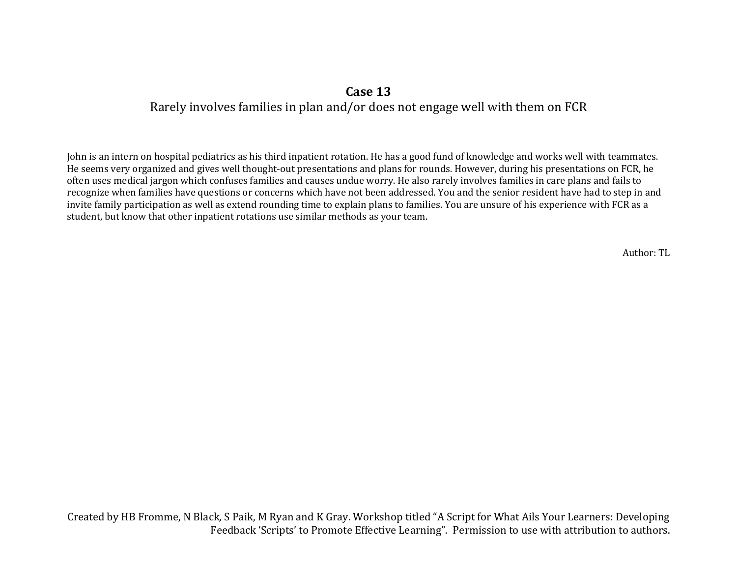## **Case 13**

## Rarely involves families in plan and/or does not engage well with them on FCR

John is an intern on hospital pediatrics as his third inpatient rotation. He has a good fund of knowledge and works well with teammates. He seems very organized and gives well thought-out presentations and plans for rounds. However, during his presentations on FCR, he often uses medical jargon which confuses families and causes undue worry. He also rarely involves families in care plans and fails to recognize when families have questions or concerns which have not been addressed. You and the senior resident have had to step in and invite family participation as well as extend rounding time to explain plans to families. You are unsure of his experience with FCR as a student, but know that other inpatient rotations use similar methods as your team.

Author: TL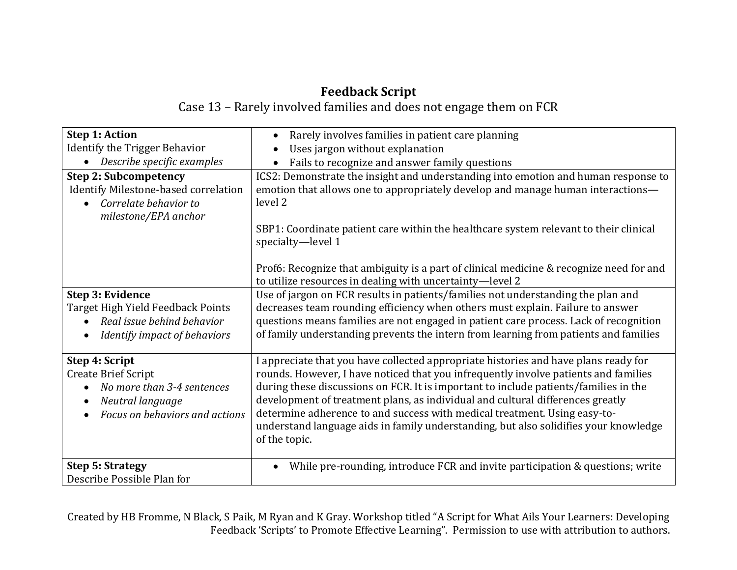## **Feedback Script**

Case 13 – Rarely involved families and does not engage them on FCR

| <b>Step 1: Action</b>                                                                                                            | Rarely involves families in patient care planning                                                                                                                                                                                                                                                                                                                                                                                                                                                                                          |
|----------------------------------------------------------------------------------------------------------------------------------|--------------------------------------------------------------------------------------------------------------------------------------------------------------------------------------------------------------------------------------------------------------------------------------------------------------------------------------------------------------------------------------------------------------------------------------------------------------------------------------------------------------------------------------------|
| <b>Identify the Trigger Behavior</b>                                                                                             | Uses jargon without explanation                                                                                                                                                                                                                                                                                                                                                                                                                                                                                                            |
| Describe specific examples                                                                                                       | Fails to recognize and answer family questions                                                                                                                                                                                                                                                                                                                                                                                                                                                                                             |
| <b>Step 2: Subcompetency</b><br>Identify Milestone-based correlation<br>Correlate behavior to<br>milestone/EPA anchor            | ICS2: Demonstrate the insight and understanding into emotion and human response to<br>emotion that allows one to appropriately develop and manage human interactions—<br>level 2<br>SBP1: Coordinate patient care within the healthcare system relevant to their clinical<br>specialty-level 1                                                                                                                                                                                                                                             |
|                                                                                                                                  | Prof6: Recognize that ambiguity is a part of clinical medicine & recognize need for and<br>to utilize resources in dealing with uncertainty-level 2                                                                                                                                                                                                                                                                                                                                                                                        |
| Step 3: Evidence<br>Target High Yield Feedback Points<br>Real issue behind behavior<br>Identify impact of behaviors              | Use of jargon on FCR results in patients/families not understanding the plan and<br>decreases team rounding efficiency when others must explain. Failure to answer<br>questions means families are not engaged in patient care process. Lack of recognition<br>of family understanding prevents the intern from learning from patients and families                                                                                                                                                                                        |
| Step 4: Script<br><b>Create Brief Script</b><br>No more than 3-4 sentences<br>Neutral language<br>Focus on behaviors and actions | I appreciate that you have collected appropriate histories and have plans ready for<br>rounds. However, I have noticed that you infrequently involve patients and families<br>during these discussions on FCR. It is important to include patients/families in the<br>development of treatment plans, as individual and cultural differences greatly<br>determine adherence to and success with medical treatment. Using easy-to-<br>understand language aids in family understanding, but also solidifies your knowledge<br>of the topic. |
| <b>Step 5: Strategy</b><br>Describe Possible Plan for                                                                            | While pre-rounding, introduce FCR and invite participation & questions; write                                                                                                                                                                                                                                                                                                                                                                                                                                                              |

Created by HB Fromme, N Black, S Paik, M Ryan and K Gray. Workshop titled "A Script for What Ails Your Learners: Developing Feedback 'Scripts' to Promote Effective Learning". Permission to use with attribution to authors.